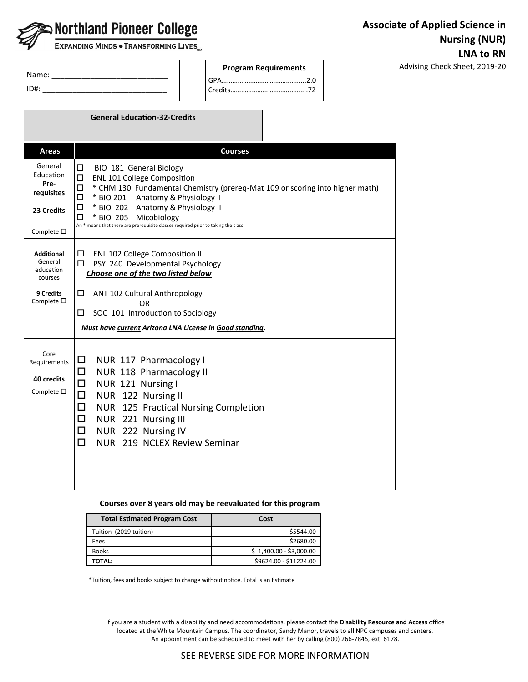| <b>September 2018</b> Northland Pioneer College |  |
|-------------------------------------------------|--|
|                                                 |  |

U

Г

EXPANDING MINDS . TRANSFORMING LIVES.

Advising Check Sheet, 2019-20

| Name:   |  |
|---------|--|
| $ID#$ : |  |

| <b>Program Requirements</b> |  |
|-----------------------------|--|
|                             |  |
|                             |  |

|                                                                                | <b>General Education-32-Credits</b>                                                                                                                                                                                                                                                                                                                                  |
|--------------------------------------------------------------------------------|----------------------------------------------------------------------------------------------------------------------------------------------------------------------------------------------------------------------------------------------------------------------------------------------------------------------------------------------------------------------|
|                                                                                |                                                                                                                                                                                                                                                                                                                                                                      |
| <b>Areas</b>                                                                   | <b>Courses</b>                                                                                                                                                                                                                                                                                                                                                       |
| General<br>Education<br>Pre-<br>requisites<br>23 Credits<br>Complete $\square$ | □<br>BIO 181 General Biology<br>□<br>ENL 101 College Composition I<br>* CHM 130 Fundamental Chemistry (prereq-Mat 109 or scoring into higher math)<br>□<br>* BIO 201<br>Anatomy & Physiology 1<br>□<br>* BIO 202 Anatomy & Physiology II<br>◻<br>* BIO 205<br>□<br>Micobiology<br>An * means that there are prerequisite classes required prior to taking the class. |
| <b>Additional</b><br>General<br>education<br>courses                           | ◻<br>ENL 102 College Composition II<br>□<br>PSY 240 Developmental Psychology<br>Choose one of the two listed below                                                                                                                                                                                                                                                   |
| 9 Credits<br>Complete $\square$                                                | ◻<br>ANT 102 Cultural Anthropology<br>OR<br>SOC 101 Introduction to Sociology<br>□                                                                                                                                                                                                                                                                                   |
|                                                                                | Must have current Arizona LNA License in Good standing.                                                                                                                                                                                                                                                                                                              |
| Core<br>Requirements<br>40 credits<br>Complete $\square$                       | □<br>NUR 117 Pharmacology I<br>NUR 118 Pharmacology II<br>□<br>□<br>NUR 121 Nursing I<br>□<br>NUR 122 Nursing II<br>□<br>NUR 125 Practical Nursing Completion<br>□<br>NUR 221 Nursing III<br>NUR 222 Nursing IV<br>□<br>□<br>NUR 219 NCLEX Review Seminar                                                                                                            |

# **Courses over 8 years old may be reevaluated for this program**

| <b>Total Estimated Program Cost</b> | Cost                    |
|-------------------------------------|-------------------------|
| Tuition (2019 tuition)              | \$5544.00               |
| Fees                                | \$2680.00               |
| <b>Books</b>                        | $$1,400.00 - $3,000.00$ |
| ΤΟΤΛL:                              | \$9624.00 - \$11224.00  |

\*Tuition, fees and books subject to change without notice. Total is an Estimate

If you are a student with a disability and need accommodations, please contact the **Disability Resource and Access** office located at the White Mountain Campus. The coordinator, Sandy Manor, travels to all NPC campuses and centers. An appointment can be scheduled to meet with her by calling (800) 266-7845, ext. 6178.